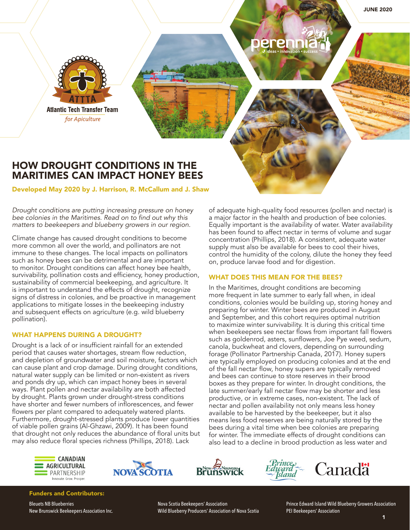JUNE 2020



# HOW DROUGHT CONDITIONS IN THE MARITIMES CAN IMPACT HONEY BEES

Developed May 2020 by J. Harrison, R. McCallum and J. Shaw

*Drought conditions are putting increasing pressure on honey*  bee colonies in the Maritimes. Read on to find out why this matters to beekeepers and blueberry growers in our region.

Climate change has caused drought conditions to become more common all over the world, and pollinators are not immune to these changes. The local impacts on pollinators such as honey bees can be detrimental and are important to monitor. Drought conditions can affect honey bee health, survivability, pollination costs and efficiency, honey production, sustainability of commercial beekeeping, and agriculture. It is important to understand the effects of drought, recognize signs of distress in colonies, and be proactive in management applications to mitigate losses in the beekeeping industry and subsequent effects on agriculture (e.g. wild blueberry pollination).

## WHAT HAPPENS DURING A DROUGHT?

Drought is a lack of or insufficient rainfall for an extended period that causes water shortages, stream flow reduction, and depletion of groundwater and soil moisture, factors which can cause plant and crop damage. During drought conditions, natural water supply can be limited or non-existent as rivers and ponds dry up, which can impact honey bees in several ways. Plant pollen and nectar availability are both affected by drought. Plants grown under drought-stress conditions have shorter and fewer numbers of inflorescences, and fewer flowers per plant compared to adequately watered plants. Furthermore, drought-stressed plants produce lower quantities of viable pollen grains (Al-Ghzawi, 2009). It has been found that drought not only reduces the abundance of floral units but may also reduce floral species richness (Phillips, 2018). Lack

of adequate high-quality food resources (pollen and nectar) is a major factor in the health and production of bee colonies. Equally important is the availability of water. Water availability has been found to affect nectar in terms of volume and sugar concentration (Phillips, 2018). A consistent, adequate water supply must also be available for bees to cool their hives, control the humidity of the colony, dilute the honey they feed on, produce larvae food and for digestion.

## WHAT DOES THIS MEAN FOR THE BEES?

In the Maritimes, drought conditions are becoming more frequent in late summer to early fall when, in ideal conditions, colonies would be building up, storing honey and preparing for winter. Winter bees are produced in August and September, and this cohort requires optimal nutrition to maximize winter survivability. It is during this critical time when beekeepers see nectar flows from important fall flowers such as goldenrod, asters, sunflowers, Joe Pye weed, sedum, canola, buckwheat and clovers, depending on surrounding forage (Pollinator Partnership Canada, 2017). Honey supers are typically employed on producing colonies and at the end of the fall nectar flow, honey supers are typically removed and bees can continue to store reserves in their brood boxes as they prepare for winter. In drought conditions, the late summer/early fall nectar flow may be shorter and less productive, or in extreme cases, non-existent. The lack of nectar and pollen availability not only means less honey available to be harvested by the beekeeper, but it also means less food reserves are being naturally stored by the bees during a vital time when bee colonies are preparing for winter. The immediate effects of drought conditions can also lead to a decline in brood production as less water and









Funders and Contributors:

Bleuets NB Blueberries New Brunswick Beekeepers Association Inc. Nova Scotia Beekeepers' Association Wild Blueberry Producers' Association of Nova Scotia Prince Edward Island Wild Blueberry Growers Association PEI Beekeepers' Association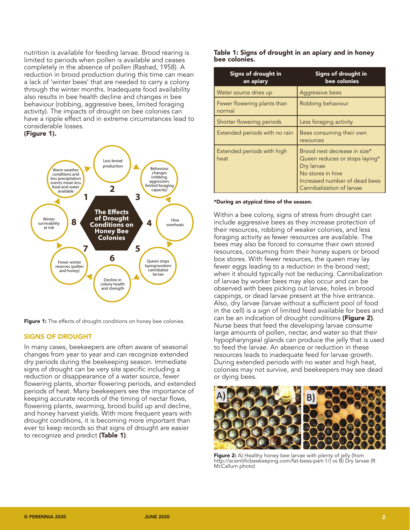nutrition is available for feeding larvae. Brood rearing is limited to periods when pollen is available and ceases completely in the absence of pollen (Rashad, 1958). A reduction in brood production during this time can mean a lack of 'winter bees' that are needed to carry a colony through the winter months. Inadequate food availability also results in bee health decline and changes in bee behaviour (robbing, aggressive bees, limited foraging activity). The impacts of drought on bee colonies can have a ripple effect and in extreme circumstances lead to considerable losses.

#### (Figure 1).



Figure 1: The effects of drought conditions on honey bee colonies.

## SIGNS OF DROUGHT

In many cases, beekeepers are often aware of seasonal changes from year to year and can recognize extended dry periods during the beekeeping season. Immediate signs of drought can be very site specific including a reduction or disappearance of a water source, fewer flowering plants, shorter flowering periods, and extended periods of heat. Many beekeepers see the importance of keeping accurate records of the timing of nectar flows, flowering plants, swarming, brood build up and decline, and honey harvest yields. With more frequent years with drought conditions, it is becoming more important than ever to keep records so that signs of drought are easier to recognize and predict (Table 1).

#### Table 1: Signs of drought in an apiary and in honey bee colonies.

| Signs of drought in<br>an apiary      | Signs of drought in<br>bee colonies                                                                                                                             |
|---------------------------------------|-----------------------------------------------------------------------------------------------------------------------------------------------------------------|
| Water source dries up                 | Aggressive bees                                                                                                                                                 |
| Fewer flowering plants than<br>normal | Robbing behaviour                                                                                                                                               |
| Shorter flowering periods             | Less foraging activity                                                                                                                                          |
| Extended periods with no rain         | Bees consuming their own<br>resources                                                                                                                           |
| Extended periods with high<br>heat    | Brood nest decrease in size*<br>Queen reduces or stops laying*<br>Dry larvae<br>No stores in hive<br>Increased number of dead bees<br>Cannibalization of larvae |

#### \*During an atypical time of the season.

Within a bee colony, signs of stress from drought can include aggressive bees as they increase protection of their resources, robbing of weaker colonies, and less foraging activity as fewer resources are available. The bees may also be forced to consume their own stored resources, consuming from their honey supers or brood box stores. With fewer resources, the queen may lay fewer eggs leading to a reduction in the brood nest; when it should typically not be reducing. Cannibalization of larvae by worker bees may also occur and can be observed with bees picking out larvae, holes in brood cappings, or dead larvae present at the hive entrance. Also, dry larvae (larvae without a sufficient pool of food in the cell) is a sign of limited feed available for bees and can be an indication of drought conditions (Figure 2). Nurse bees that feed the developing larvae consume large amounts of pollen, nectar, and water so that their hypopharyngeal glands can produce the jelly that is used to feed the larvae. An absence or reduction in these resources leads to inadequate feed for larvae growth. During extended periods with no water and high heat, colonies may not survive, and beekeepers may see dead or dying bees.



Figure 2: A) Healthy honey bee larvae with plenty of jelly (from http://scientificbeekeeping.com/fat-bees-part-1/) vs B) Dry larvae (R. McCallum photo)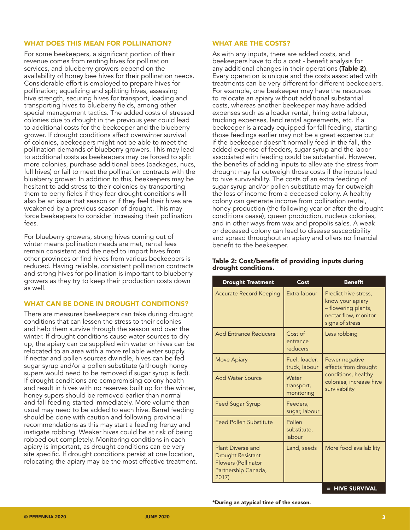#### WHAT DOES THIS MEAN FOR POLLINATION?

For some beekeepers, a significant portion of their revenue comes from renting hives for pollination services, and blueberry growers depend on the availability of honey bee hives for their pollination needs. Considerable effort is employed to prepare hives for pollination; equalizing and splitting hives, assessing hive strength, securing hives for transport, loading and transporting hives to blueberry fields, among other special management tactics. The added costs of stressed colonies due to drought in the previous year could lead to additional costs for the beekeeper and the blueberry grower. If drought conditions affect overwinter survival of colonies, beekeepers might not be able to meet the pollination demands of blueberry growers. This may lead to additional costs as beekeepers may be forced to split more colonies, purchase additional bees (packages, nucs, full hives) or fail to meet the pollination contracts with the blueberry grower. In addition to this, beekeepers may be hesitant to add stress to their colonies by transporting them to berry fields if they fear drought conditions will also be an issue that season or if they feel their hives are weakened by a previous season of drought. This may force beekeepers to consider increasing their pollination fees.

For blueberry growers, strong hives coming out of winter means pollination needs are met, rental fees remain consistent and the need to import hives from other provinces or find hives from various beekeepers is reduced. Having reliable, consistent pollination contracts and strong hives for pollination is important to blueberry growers as they try to keep their production costs down as well.

## WHAT CAN BE DONE IN DROUGHT CONDITIONS?

There are measures beekeepers can take during drought conditions that can lessen the stress to their colonies and help them survive through the season and over the winter. If drought conditions cause water sources to dry up, the apiary can be supplied with water or hives can be relocated to an area with a more reliable water supply. If nectar and pollen sources dwindle, hives can be fed sugar syrup and/or a pollen substitute (although honey supers would need to be removed if sugar syrup is fed). If drought conditions are compromising colony health and result in hives with no reserves built up for the winter, honey supers should be removed earlier than normal and fall feeding started immediately. More volume than usual may need to be added to each hive. Barrel feeding should be done with caution and following provincial recommendations as this may start a feeding frenzy and instigate robbing. Weaker hives could be at risk of being robbed out completely. Monitoring conditions in each apiary is important, as drought conditions can be very site specific. If drought conditions persist at one location, relocating the apiary may be the most effective treatment.

#### WHAT ARE THE COSTS?

As with any inputs, there are added costs, and beekeepers have to do a cost - benefit analysis for any additional changes in their operations (Table 2). Every operation is unique and the costs associated with treatments can be very different for different beekeepers. For example, one beekeeper may have the resources to relocate an apiary without additional substantial costs, whereas another beekeeper may have added expenses such as a loader rental, hiring extra labour, trucking expenses, land rental agreements, etc. If a beekeeper is already equipped for fall feeding, starting those feedings earlier may not be a great expense but if the beekeeper doesn't normally feed in the fall, the added expense of feeders, sugar syrup and the labor associated with feeding could be substantial. However, the benefits of adding inputs to alleviate the stress from drought may far outweigh those costs if the inputs lead to hive survivability. The costs of an extra feeding of sugar syrup and/or pollen substitute may far outweigh the loss of income from a deceased colony. A healthy colony can generate income from pollination rental, honey production (the following year or after the drought conditions cease), queen production, nucleus colonies, and in other ways from wax and propolis sales. A weak or deceased colony can lead to disease susceptibility and spread throughout an apiary and offers no financial benefit to the beekeeper.

| <b>Drought Treatment</b>                                                                                          | Cost                              | <b>Benefit</b>                                                                                             |
|-------------------------------------------------------------------------------------------------------------------|-----------------------------------|------------------------------------------------------------------------------------------------------------|
| <b>Accurate Record Keeping</b>                                                                                    | Extra labour                      | Predict hive stress,<br>know your apiary<br>- flowering plants,<br>nectar flow, monitor<br>signs of stress |
| <b>Add Entrance Reducers</b>                                                                                      | Cost of<br>entrance<br>reducers   | Less robbing                                                                                               |
| Move Apiary                                                                                                       | Fuel, loader,<br>truck, labour    | Fewer negative<br>effects from drought<br>conditions, healthy<br>colonies, increase hive<br>survivability  |
| <b>Add Water Source</b>                                                                                           | Water<br>transport,<br>monitoring |                                                                                                            |
| Feed Sugar Syrup                                                                                                  | Feeders,<br>sugar, labour         |                                                                                                            |
| <b>Feed Pollen Substitute</b>                                                                                     | Pollen<br>substitute,<br>labour   |                                                                                                            |
| <b>Plant Diverse and</b><br><b>Drought Resistant</b><br><b>Flowers (Pollinator</b><br>Partnership Canada,<br>2017 | Land, seeds                       | More food availability                                                                                     |
|                                                                                                                   |                                   | <b>HIVE SURVIVAL</b>                                                                                       |

#### Table 2: Cost/benefit of providing inputs during drought conditions.

\*During an atypical time of the season.